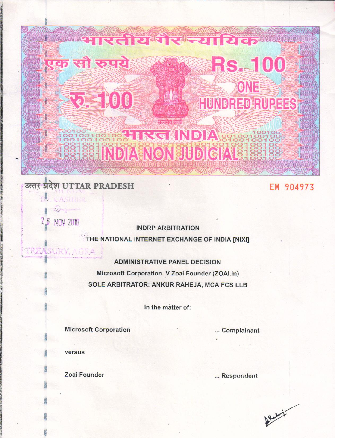# <u> । एतीय गैर न्याधिव</u> एक सौ रुपये **RS. 100** ONE 32. 100 HUNDRED RUPEES प्रत्यमन्त्र जयत 00100100100188 IRGHNDIA 901001001 **SEE SEE INDIA ENON SUDIGIALS 1889**

# उत्तर प्रदेश UTTAR PRADESH

EM 904973

CASHIER

2.6 NOV 2018

**TREASURY, AGRA** 

**INDRP ARBITRATION** 

THE NATIONAL INTERNET EXCHANGE OF INDIA [NIXI]

**ADMINISTRATIVE PANEL DECISION** 

Microsoft Corporation. V Zoai Founder (ZOAI.in) SOLE ARBITRATOR: ANKUR RAHEJA, MCA FCS LLB

In the matter of:

**Microsoft Corporation** 

... Complainant

versus

Zoai Founder

... Respondent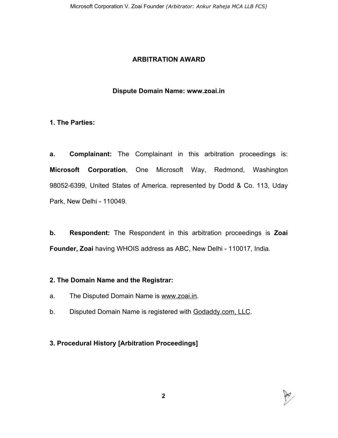### **ARBITRATION AWARD**

### **Dispute Domain Name: www.zoai.in**

### **1. The Parties:**

**a. Complainant:** The Complainant in this arbitration proceedings is: **Microsoft Corporation**, One Microsoft Way, Redmond, Washington 98052-6399, United States of America. represented by Dodd & Co. 113, Uday Park, New Delhi - 110049.

**b. Respondent:** The Respondent in this arbitration proceedings is **Zoai Founder, Zoai** having WHOIS address as ABC, New Delhi - 110017, India.

#### **2. The Domain Name and the Registrar:**

- a. The Disputed Domain Name is www.zoai.in.
- b. Disputed Domain Name is registered with Godaddy.com, LLC.

# **3. Procedural History [Arbitration Proceedings]**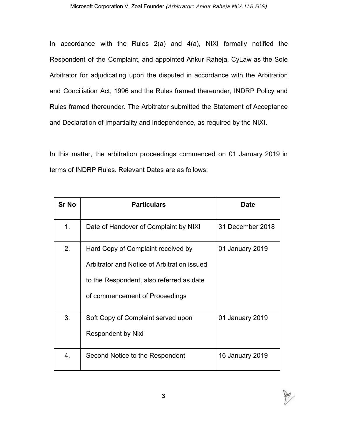In accordance with the Rules  $2(a)$  and  $4(a)$ , NIXI formally notified the Respondent of the Complaint, and appointed Ankur Raheja, CyLaw as the Sole Arbitrator for adjudicating upon the disputed in accordance with the Arbitration and Conciliation Act, 1996 and the Rules framed thereunder, INDRP Policy and Rules framed thereunder. The Arbitrator submitted the Statement of Acceptance and Declaration of Impartiality and Independence, as required by the NIXI.

In this matter, the arbitration proceedings commenced on 01 January 2019 in terms of INDRP Rules. Relevant Dates are as follows:

| <b>Sr No</b> | <b>Particulars</b>                                                                                                                                              | Date             |
|--------------|-----------------------------------------------------------------------------------------------------------------------------------------------------------------|------------------|
| 1.           | Date of Handover of Complaint by NIXI                                                                                                                           | 31 December 2018 |
| 2.           | Hard Copy of Complaint received by<br>Arbitrator and Notice of Arbitration issued<br>to the Respondent, also referred as date<br>of commencement of Proceedings | 01 January 2019  |
| 3.           | Soft Copy of Complaint served upon<br><b>Respondent by Nixi</b>                                                                                                 | 01 January 2019  |
| 4.           | Second Notice to the Respondent                                                                                                                                 | 16 January 2019  |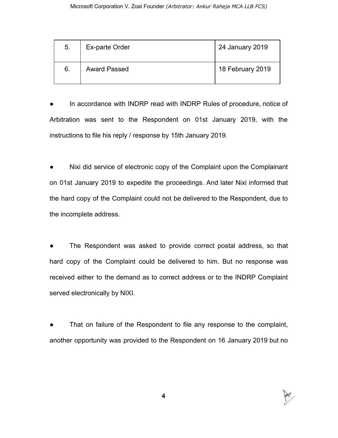| 5. | Ex-parte Order      | 24 January 2019  |
|----|---------------------|------------------|
| 6. | <b>Award Passed</b> | 18 February 2019 |

In accordance with INDRP read with INDRP Rules of procedure, notice of Arbitration was sent to the Respondent on 01st January 2019, with the instructions to file his reply / response by 15th January 2019.

Nixi did service of electronic copy of the Complaint upon the Complainant on 01st January 2019 to expedite the proceedings. And later Nixi informed that the hard copy of the Complaint could not be delivered to the Respondent, due to the incomplete address.

The Respondent was asked to provide correct postal address, so that hard copy of the Complaint could be delivered to him. But no response was received either to the demand as to correct address or to the INDRP Complaint served electronically by NIXI.

That on failure of the Respondent to file any response to the complaint, another opportunity was provided to the Respondent on 16 January 2019 but no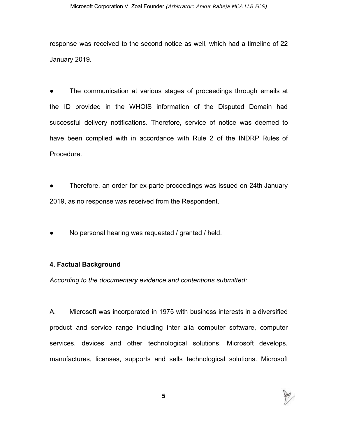response was received to the second notice as well, which had a timeline of 22 January 2019.

The communication at various stages of proceedings through emails at the ID provided in the WHOIS information of the Disputed Domain had successful delivery notifications. Therefore, service of notice was deemed to have been complied with in accordance with Rule 2 of the INDRP Rules of Procedure.

Therefore, an order for ex-parte proceedings was issued on 24th January 2019, as no response was received from the Respondent.

No personal hearing was requested / granted / held.

#### **4. Factual Background**

*According to the documentary evidence and contentions submitted:*

A. Microsoft was incorporated in 1975 with business interests in a diversified product and service range including inter alia computer software, computer services, devices and other technological solutions. Microsoft develops, manufactures, licenses, supports and sells technological solutions. Microsoft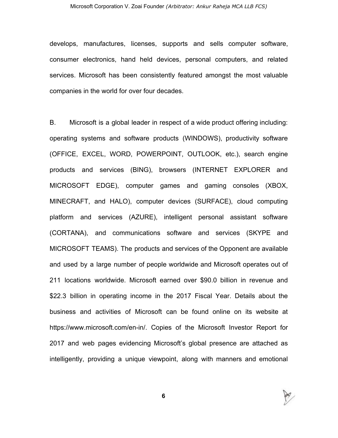develops, manufactures, licenses, supports and sells computer software, consumer electronics, hand held devices, personal computers, and related services. Microsoft has been consistently featured amongst the most valuable companies in the world for over four decades.

B. Microsoft is a global leader in respect of a wide product offering including: operating systems and software products (WINDOWS), productivity software (OFFICE, EXCEL, WORD, POWERPOINT, OUTLOOK, etc.), search engine products and services (BING), browsers (INTERNET EXPLORER and MICROSOFT EDGE), computer games and gaming consoles (XBOX, MINECRAFT, and HALO), computer devices (SURFACE), cloud computing platform and services (AZURE), intelligent personal assistant software (CORTANA), and communications software and services (SKYPE and MICROSOFT TEAMS). The products and services of the Opponent are available and used by a large number of people worldwide and Microsoft operates out of 211 locations worldwide. Microsoft earned over \$90.0 billion in revenue and \$22.3 billion in operating income in the 2017 Fiscal Year. Details about the business and activities of Microsoft can be found online on its website at https://www.microsoft.com/en-in/. Copies of the Microsoft Investor Report for 2017 and web pages evidencing Microsoft's global presence are attached as intelligently, providing a unique viewpoint, along with manners and emotional

P

**6**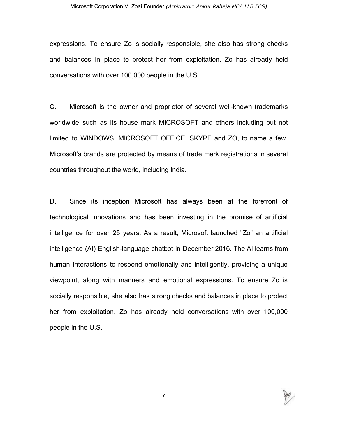expressions. To ensure Zo is socially responsible, she also has strong checks and balances in place to protect her from exploitation. Zo has already held conversations with over 100,000 people in the U.S.

C. Microsoft is the owner and proprietor of several well-known trademarks worldwide such as its house mark MICROSOFT and others including but not limited to WINDOWS, MICROSOFT OFFICE, SKYPE and ZO, to name a few. Microsoft's brands are protected by means of trade mark registrations in several countries throughout the world, including India.

D. Since its inception Microsoft has always been at the forefront of technological innovations and has been investing in the promise of artificial intelligence for over 25 years. As a result, Microsoft launched "Zo" an artificial intelligence (AI) English-language chatbot in December 2016. The AI learns from human interactions to respond emotionally and intelligently, providing a unique viewpoint, along with manners and emotional expressions. To ensure Zo is socially responsible, she also has strong checks and balances in place to protect her from exploitation. Zo has already held conversations with over 100,000 people in the U.S.

**7**

P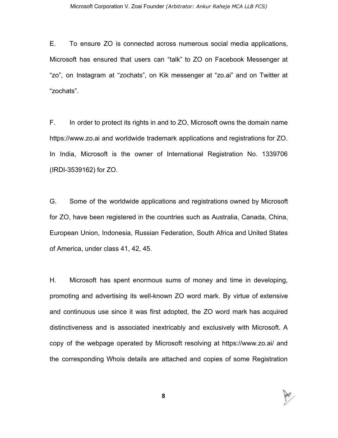E. To ensure ZO is connected across numerous social media applications, Microsoft has ensured that users can "talk" to ZO on Facebook Messenger at "zo", on Instagram at "zochats", on Kik messenger at "zo.ai" and on Twitter at "zochats".

F. In order to protect its rights in and to ZO, Microsoft owns the domain name https://www.zo.ai and worldwide trademark applications and registrations for ZO. In India, Microsoft is the owner of International Registration No. 1339706 (IRDI-3539162) for ZO.

G. Some of the worldwide applications and registrations owned by Microsoft for ZO, have been registered in the countries such as Australia, Canada, China, European Union, Indonesia, Russian Federation, South Africa and United States of America, under class 41, 42, 45.

H. Microsoft has spent enormous sums of money and time in developing, promoting and advertising its well-known ZO word mark. By virtue of extensive and continuous use since it was first adopted, the ZO word mark has acquired distinctiveness and is associated inextricably and exclusively with Microsoft. A copy of the webpage operated by Microsoft resolving at https://www.zo.ai/ and the corresponding Whois details are attached and copies of some Registration



**8**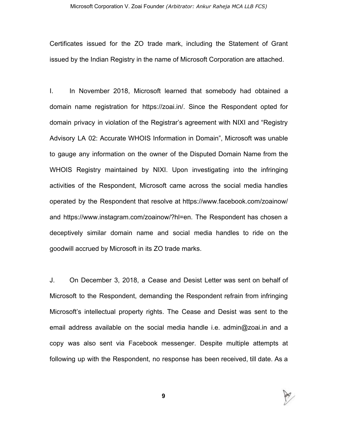Certificates issued for the ZO trade mark, including the Statement of Grant issued by the Indian Registry in the name of Microsoft Corporation are attached.

I. In November 2018, Microsoft learned that somebody had obtained a domain name registration for https://zoai.in/. Since the Respondent opted for domain privacy in violation of the Registrar's agreement with NIXI and "Registry Advisory LA 02: Accurate WHOIS Information in Domain", Microsoft was unable to gauge any information on the owner of the Disputed Domain Name from the WHOIS Registry maintained by NIXI. Upon investigating into the infringing activities of the Respondent, Microsoft came across the social media handles operated by the Respondent that resolve at https://www.facebook.com/zoainow/ and https://www.instagram.com/zoainow/?hl=en. The Respondent has chosen a deceptively similar domain name and social media handles to ride on the goodwill accrued by Microsoft in its ZO trade marks.

J. On December 3, 2018, a Cease and Desist Letter was sent on behalf of Microsoft to the Respondent, demanding the Respondent refrain from infringing Microsoft's intellectual property rights. The Cease and Desist was sent to the email address available on the social media handle i.e. admin@zoai.in and a copy was also sent via Facebook messenger. Despite multiple attempts at following up with the Respondent, no response has been received, till date. As a

**9**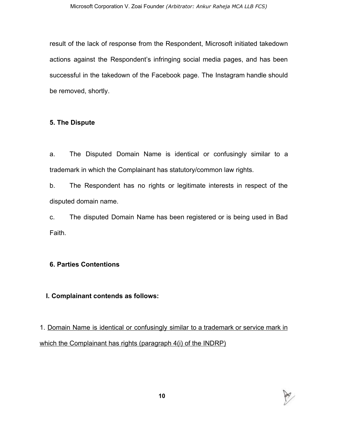result of the lack of response from the Respondent, Microsoft initiated takedown actions against the Respondent's infringing social media pages, and has been successful in the takedown of the Facebook page. The Instagram handle should be removed, shortly.

# **5. The Dispute**

a. The Disputed Domain Name is identical or confusingly similar to a trademark in which the Complainant has statutory/common law rights.

b. The Respondent has no rights or legitimate interests in respect of the disputed domain name.

c. The disputed Domain Name has been registered or is being used in Bad Faith.

# **6. Parties Contentions**

# **I. Complainant contends as follows:**

1. Domain Name is identical or confusingly similar to a trademark or service mark in which the Complainant has rights (paragraph 4(i) of the INDRP)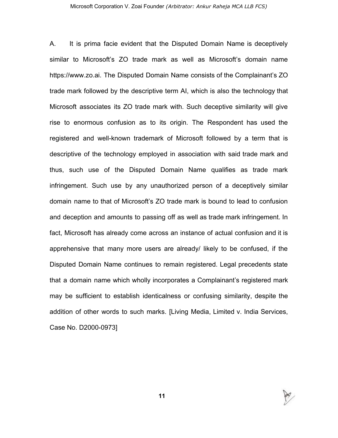A. It is prima facie evident that the Disputed Domain Name is deceptively similar to Microsoft's ZO trade mark as well as Microsoft's domain name https://www.zo.ai. The Disputed Domain Name consists of the Complainant's ZO trade mark followed by the descriptive term AI, which is also the technology that Microsoft associates its ZO trade mark with. Such deceptive similarity will give rise to enormous confusion as to its origin. The Respondent has used the registered and well-known trademark of Microsoft followed by a term that is descriptive of the technology employed in association with said trade mark and thus, such use of the Disputed Domain Name qualifies as trade mark infringement. Such use by any unauthorized person of a deceptively similar domain name to that of Microsoft's ZO trade mark is bound to lead to confusion and deception and amounts to passing off as well as trade mark infringement. In fact, Microsoft has already come across an instance of actual confusion and it is apprehensive that many more users are already/ likely to be confused, if the Disputed Domain Name continues to remain registered. Legal precedents state that a domain name which wholly incorporates a Complainant's registered mark may be sufficient to establish identicalness or confusing similarity, despite the addition of other words to such marks. [Living Media, Limited v. India Services, Case No. D2000-0973]

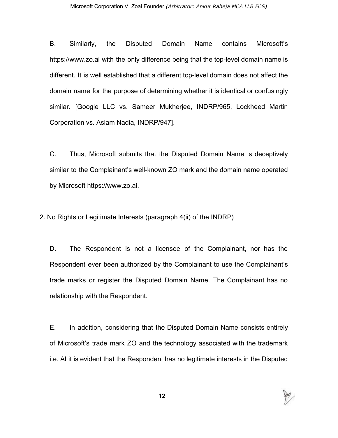B. Similarly, the Disputed Domain Name contains Microsoft's https://www.zo.ai with the only difference being that the top-level domain name is different. It is well established that a different top-level domain does not affect the domain name for the purpose of determining whether it is identical or confusingly similar. [Google LLC vs. Sameer Mukherjee, INDRP/965, Lockheed Martin Corporation vs. Aslam Nadia, INDRP/947].

C. Thus, Microsoft submits that the Disputed Domain Name is deceptively similar to the Complainant's well-known ZO mark and the domain name operated by Microsoft https://www.zo.ai.

#### 2. No Rights or Legitimate Interests (paragraph 4(ii) of the INDRP)

D. The Respondent is not a licensee of the Complainant, nor has the Respondent ever been authorized by the Complainant to use the Complainant's trade marks or register the Disputed Domain Name. The Complainant has no relationship with the Respondent.

E. In addition, considering that the Disputed Domain Name consists entirely of Microsoft's trade mark ZO and the technology associated with the trademark i.e. AI it is evident that the Respondent has no legitimate interests in the Disputed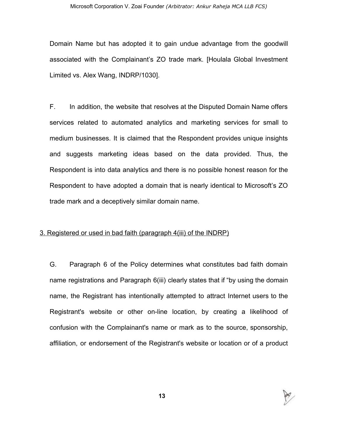Domain Name but has adopted it to gain undue advantage from the goodwill associated with the Complainant's ZO trade mark. [Houlala Global Investment Limited vs. Alex Wang, INDRP/1030].

F. In addition, the website that resolves at the Disputed Domain Name offers services related to automated analytics and marketing services for small to medium businesses. It is claimed that the Respondent provides unique insights and suggests marketing ideas based on the data provided. Thus, the Respondent is into data analytics and there is no possible honest reason for the Respondent to have adopted a domain that is nearly identical to Microsoft's ZO trade mark and a deceptively similar domain name.

#### 3. Registered or used in bad faith (paragraph 4(iii) of the INDRP)

G. Paragraph 6 of the Policy determines what constitutes bad faith domain name registrations and Paragraph 6(iii) clearly states that if "by using the domain name, the Registrant has intentionally attempted to attract Internet users to the Registrant's website or other on-line location, by creating a likelihood of confusion with the Complainant's name or mark as to the source, sponsorship, affiliation, or endorsement of the Registrant's website or location or of a product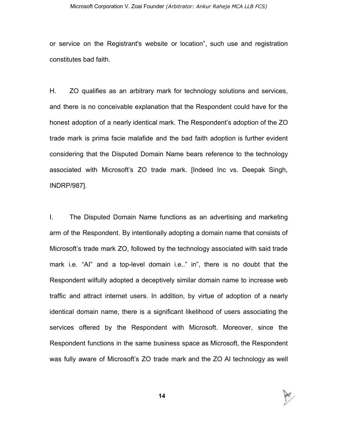or service on the Registrant's website or location", such use and registration constitutes bad faith.

H. ZO qualifies as an arbitrary mark for technology solutions and services, and there is no conceivable explanation that the Respondent could have for the honest adoption of a nearly identical mark. The Respondent's adoption of the ZO trade mark is prima facie malafide and the bad faith adoption is further evident considering that the Disputed Domain Name bears reference to the technology associated with Microsoft's ZO trade mark. [Indeed Inc vs. Deepak Singh, INDRP/987].

I. The Disputed Domain Name functions as an advertising and marketing arm of the Respondent. By intentionally adopting a domain name that consists of Microsoft's trade mark ZO, followed by the technology associated with said trade mark i.e. "AI" and a top-level domain i.e.." in", there is no doubt that the Respondent wilfully adopted a deceptively similar domain name to increase web traffic and attract internet users. In addition, by virtue of adoption of a nearly identical domain name, there is a significant likelihood of users associating the services offered by the Respondent with Microsoft. Moreover, since the Respondent functions in the same business space as Microsoft, the Respondent was fully aware of Microsoft's ZO trade mark and the ZO AI technology as well



**14**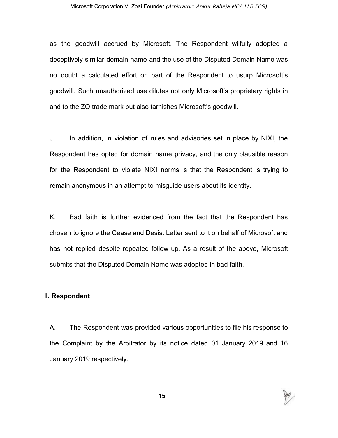as the goodwill accrued by Microsoft. The Respondent wilfully adopted a deceptively similar domain name and the use of the Disputed Domain Name was no doubt a calculated effort on part of the Respondent to usurp Microsoft's goodwill. Such unauthorized use dilutes not only Microsoft's proprietary rights in and to the ZO trade mark but also tarnishes Microsoft's goodwill.

J. In addition, in violation of rules and advisories set in place by NIXI, the Respondent has opted for domain name privacy, and the only plausible reason for the Respondent to violate NIXI norms is that the Respondent is trying to remain anonymous in an attempt to misguide users about its identity.

K. Bad faith is further evidenced from the fact that the Respondent has chosen to ignore the Cease and Desist Letter sent to it on behalf of Microsoft and has not replied despite repeated follow up. As a result of the above, Microsoft submits that the Disputed Domain Name was adopted in bad faith.

#### **II. Respondent**

A. The Respondent was provided various opportunities to file his response to the Complaint by the Arbitrator by its notice dated 01 January 2019 and 16 January 2019 respectively.

P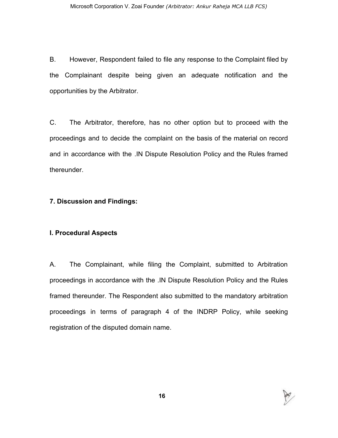B. However, Respondent failed to file any response to the Complaint filed by the Complainant despite being given an adequate notification and the opportunities by the Arbitrator.

C. The Arbitrator, therefore, has no other option but to proceed with the proceedings and to decide the complaint on the basis of the material on record and in accordance with the .IN Dispute Resolution Policy and the Rules framed thereunder.

# **7. Discussion and Findings:**

# **I. Procedural Aspects**

A. The Complainant, while filing the Complaint, submitted to Arbitration proceedings in accordance with the .IN Dispute Resolution Policy and the Rules framed thereunder. The Respondent also submitted to the mandatory arbitration proceedings in terms of paragraph 4 of the INDRP Policy, while seeking registration of the disputed domain name.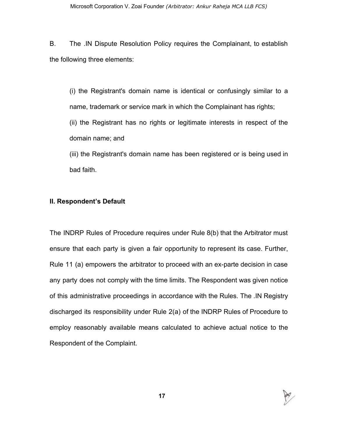B. The .IN Dispute Resolution Policy requires the Complainant, to establish the following three elements:

(i) the Registrant's domain name is identical or confusingly similar to a name, trademark or service mark in which the Complainant has rights; (ii) the Registrant has no rights or legitimate interests in respect of the domain name; and

(iii) the Registrant's domain name has been registered or is being used in bad faith.

#### **II. Respondent's Default**

The INDRP Rules of Procedure requires under Rule 8(b) that the Arbitrator must ensure that each party is given a fair opportunity to represent its case. Further, Rule 11 (a) empowers the arbitrator to proceed with an ex-parte decision in case any party does not comply with the time limits. The Respondent was given notice of this administrative proceedings in accordance with the Rules. The .IN Registry discharged its responsibility under Rule 2(a) of the INDRP Rules of Procedure to employ reasonably available means calculated to achieve actual notice to the Respondent of the Complaint.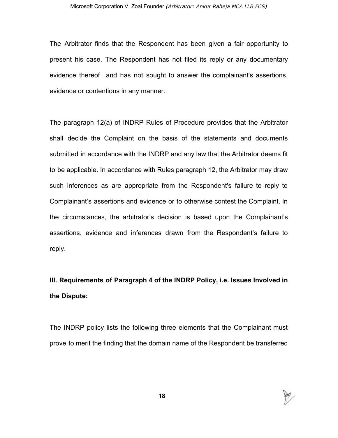The Arbitrator finds that the Respondent has been given a fair opportunity to present his case. The Respondent has not filed its reply or any documentary evidence thereof and has not sought to answer the complainant's assertions, evidence or contentions in any manner.

The paragraph 12(a) of INDRP Rules of Procedure provides that the Arbitrator shall decide the Complaint on the basis of the statements and documents submitted in accordance with the INDRP and any law that the Arbitrator deems fit to be applicable. In accordance with Rules paragraph 12, the Arbitrator may draw such inferences as are appropriate from the Respondent's failure to reply to Complainant's assertions and evidence or to otherwise contest the Complaint. In the circumstances, the arbitrator's decision is based upon the Complainant's assertions, evidence and inferences drawn from the Respondent's failure to reply.

# **III. Requirements of Paragraph 4 of the INDRP Policy, i.e. Issues Involved in the Dispute:**

The INDRP policy lists the following three elements that the Complainant must prove to merit the finding that the domain name of the Respondent be transferred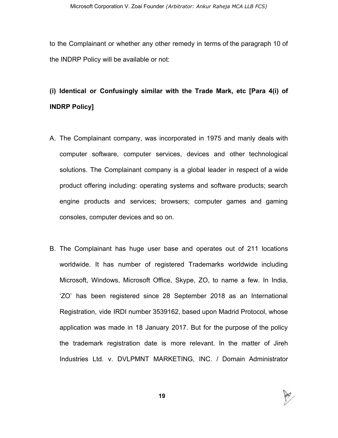to the Complainant or whether any other remedy in terms of the paragraph 10 of the INDRP Policy will be available or not:

# **(i) Identical or Confusingly similar with the Trade Mark, etc [Para 4(i) of INDRP Policy]**

- A. The Complainant company, was incorporated in 1975 and manly deals with computer software, computer services, devices and other technological solutions. The Complainant company is a global leader in respect of a wide product offering including: operating systems and software products; search engine products and services; browsers; computer games and gaming consoles, computer devices and so on.
- B. The Complainant has huge user base and operates out of 211 locations worldwide. It has number of registered Trademarks worldwide including Microsoft, Windows, Microsoft Office, Skype, ZO, to name a few. In India, 'ZO' has been registered since 28 September 2018 as an International Registration, vide IRDI number 3539162, based upon Madrid Protocol, whose application was made in 18 January 2017. But for the purpose of the policy the trademark registration date is more relevant. In the matter of Jireh Industries Ltd. v. DVLPMNT MARKETING, INC. / Domain Administrator

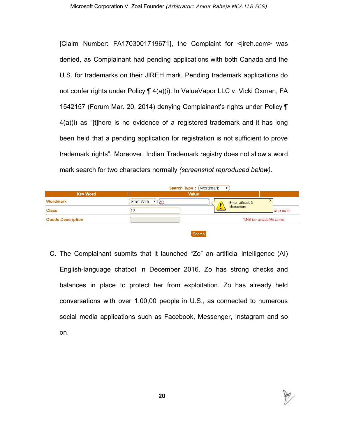[Claim Number: FA1703001719671], the Complaint for <jireh.com> was denied, as Complainant had pending applications with both Canada and the U.S. for trademarks on their JIREH mark. Pending trademark applications do not confer rights under Policy ¶ 4(a)(i). In ValueVapor LLC v. Vicki Oxman, FA 1542157 (Forum Mar. 20, 2014) denying Complainant's rights under Policy ¶ 4(a)(i) as "[t]here is no evidence of a registered trademark and it has long been held that a pending application for registration is not sufficient to prove trademark rights". Moreover, Indian Trademark registry does not allow a word mark search for two characters normally *(screenshot reproduced below)*.

|                          | <b>Search Type: (Wordmark</b><br>$\mathbf{v}$<br><b>Value</b> |                 |                         |  |
|--------------------------|---------------------------------------------------------------|-----------------|-------------------------|--|
| <b>Key Word</b>          |                                                               |                 |                         |  |
| Wordmark                 | <b>Start With</b><br>Z <sub>Q</sub>                           | Enter atleast 3 | ж                       |  |
| <b>Class</b>             |                                                               | characters      | at a time               |  |
| <b>Goods Description</b> |                                                               |                 | *Will be available soon |  |

- Search
- C. The Complainant submits that it launched "Zo" an artificial intelligence (AI) English-language chatbot in December 2016. Zo has strong checks and balances in place to protect her from exploitation. Zo has already held conversations with over 1,00,00 people in U.S., as connected to numerous social media applications such as Facebook, Messenger, Instagram and so on.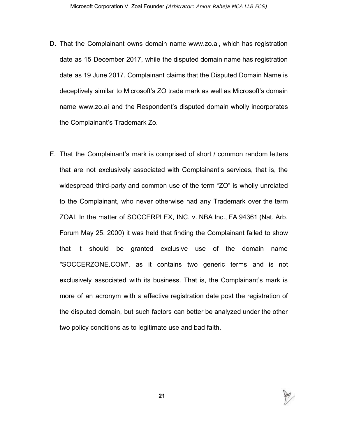- D. That the Complainant owns domain name www.zo.ai, which has registration date as 15 December 2017, while the disputed domain name has registration date as 19 June 2017. Complainant claims that the Disputed Domain Name is deceptively similar to Microsoft's ZO trade mark as well as Microsoft's domain name www.zo.ai and the Respondent's disputed domain wholly incorporates the Complainant's Trademark Zo.
- E. That the Complainant's mark is comprised of short / common random letters that are not exclusively associated with Complainant's services, that is, the widespread third-party and common use of the term "ZO" is wholly unrelated to the Complainant, who never otherwise had any Trademark over the term ZOAI. In the matter of SOCCERPLEX, INC. v. NBA Inc., FA 94361 (Nat. Arb. Forum May 25, 2000) it was held that finding the Complainant failed to show that it should be granted exclusive use of the domain name "SOCCERZONE.COM", as it contains two generic terms and is not exclusively associated with its business. That is, the Complainant's mark is more of an acronym with a effective registration date post the registration of the disputed domain, but such factors can better be analyzed under the other two policy conditions as to legitimate use and bad faith.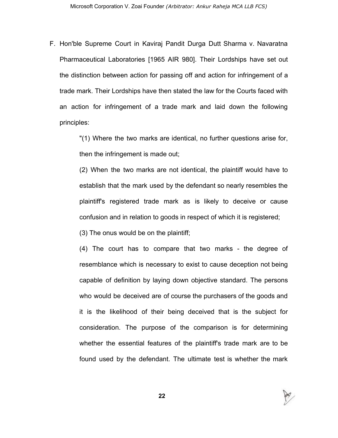F. Hon'ble Supreme Court in Kaviraj Pandit Durga Dutt Sharma v. Navaratna Pharmaceutical Laboratories [1965 AIR 980]. Their Lordships have set out the distinction between action for passing off and action for infringement of a trade mark. Their Lordships have then stated the law for the Courts faced with an action for infringement of a trade mark and laid down the following principles:

> "(1) Where the two marks are identical, no further questions arise for, then the infringement is made out;

> (2) When the two marks are not identical, the plaintiff would have to establish that the mark used by the defendant so nearly resembles the plaintiff's registered trade mark as is likely to deceive or cause confusion and in relation to goods in respect of which it is registered;

(3) The onus would be on the plaintiff;

(4) The court has to compare that two marks - the degree of resemblance which is necessary to exist to cause deception not being capable of definition by laying down objective standard. The persons who would be deceived are of course the purchasers of the goods and it is the likelihood of their being deceived that is the subject for consideration. The purpose of the comparison is for determining whether the essential features of the plaintiff's trade mark are to be found used by the defendant. The ultimate test is whether the mark



**22**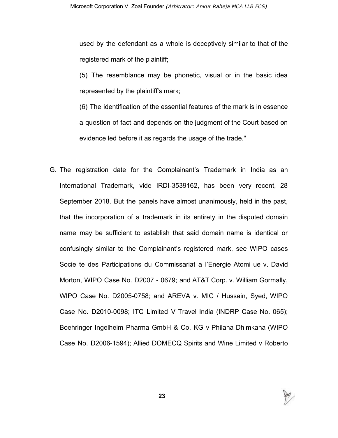used by the defendant as a whole is deceptively similar to that of the registered mark of the plaintiff;

(5) The resemblance may be phonetic, visual or in the basic idea represented by the plaintiff's mark;

(6) The identification of the essential features of the mark is in essence a question of fact and depends on the judgment of the Court based on evidence led before it as regards the usage of the trade."

G. The registration date for the Complainant's Trademark in India as an International Trademark, vide IRDI-3539162, has been very recent, 28 September 2018. But the panels have almost unanimously, held in the past, that the incorporation of a trademark in its entirety in the disputed domain name may be sufficient to establish that said domain name is identical or confusingly similar to the Complainant's registered mark, see WIPO cases Socie te des Participations du Commissariat a l'Energie Atomi ue v. David Morton, WIPO Case No. D2007 - 0679; and AT&T Corp. v. William Gormally, WIPO Case No. D2005-0758; and AREVA v. MIC / Hussain, Syed, WIPO Case No. D2010-0098; ITC Limited V Travel India (INDRP Case No. 065); Boehringer Ingelheim Pharma GmbH & Co. KG v Philana Dhimkana (WIPO Case No. D2006-1594); Allied DOMECQ Spirits and Wine Limited v Roberto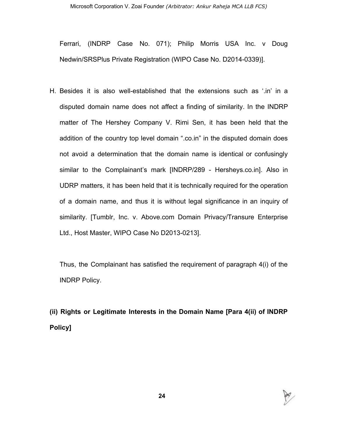Ferrari, (INDRP Case No. 071); Philip Morris USA Inc. v Doug Nedwin/SRSPlus Private Registration (WIPO Case No. D2014-0339)].

H. Besides it is also well-established that the extensions such as '.in' in a disputed domain name does not affect a finding of similarity. In the INDRP matter of The Hershey Company V. Rimi Sen, it has been held that the addition of the country top level domain ".co.in" in the disputed domain does not avoid a determination that the domain name is identical or confusingly similar to the Complainant's mark [INDRP/289 - Hersheys.co.in]. Also in UDRP matters, it has been held that it is technically required for the operation of a domain name, and thus it is without legal significance in an inquiry of similarity. [Tumblr, Inc. v. Above.com Domain Privacy/Transure Enterprise Ltd., Host Master, WIPO Case No D2013-0213].

Thus, the Complainant has satisfied the requirement of paragraph 4(i) of the INDRP Policy.

**(ii) Rights or Legitimate Interests in the Domain Name [Para 4(ii) of INDRP Policy]**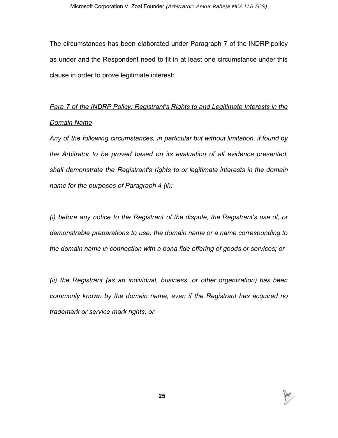The circumstances has been elaborated under Paragraph 7 of the INDRP policy as under and the Respondent need to fit in at least one circumstance under this clause in order to prove legitimate interest:

# *Para 7 of the INDRP Policy: Registrant's Rights to and Legitimate Interests in the Domain Name*

*Any of the following circumstances, in particular but without limitation, if found by the Arbitrator to be proved based on its evaluation of all evidence presented, shall demonstrate the Registrant's rights to or legitimate interests in the domain name for the purposes of Paragraph 4 (ii):*

*(i) before any notice to the Registrant of the dispute, the Registrant's use of, or demonstrable preparations to use, the domain name or a name corresponding to the domain name in connection with a bona fide offering of goods or services; or*

*(ii) the Registrant (as an individual, business, or other organization) has been commonly known by the domain name, even if the Registrant has acquired no trademark or service mark rights; or*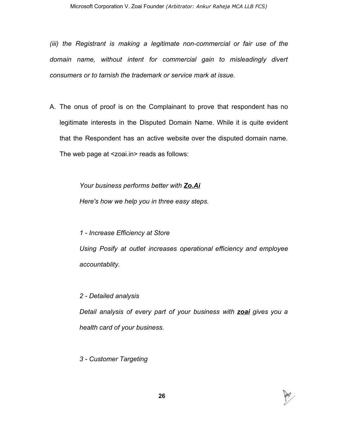*(iii) the Registrant is making a legitimate non-commercial or fair use of the domain name, without intent for commercial gain to misleadingly divert consumers or to tarnish the trademark or service mark at issue.*

A. The onus of proof is on the Complainant to prove that respondent has no legitimate interests in the Disputed Domain Name. While it is quite evident that the Respondent has an active website over the disputed domain name*.* The web page at <zoai.in> reads as follows:

> *Your business performs better with Zo.Ai Here's how we help you in three easy steps.*

*1 - Increase Efficiency at Store Using Posify at outlet increases operational efficiency and employee accountablity.*

*2 - Detailed analysis*

*Detail analysis of every part of your business with zoai gives you a health card of your business.*

*3 - Customer Targeting*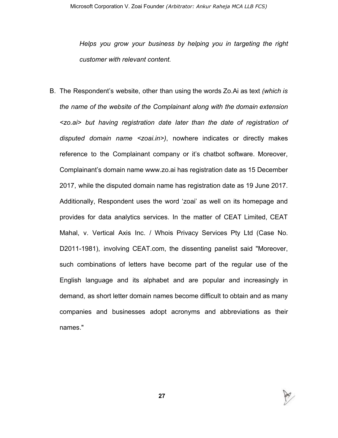*Helps you grow your business by helping you in targeting the right customer with relevant content.*

B. The Respondent's website, other than using the words Zo.Ai as text *(which is the name of the website of the Complainant along with the domain extension <zo.ai> but having registration date later than the date of registration of disputed domain name <zoai.in>)*, nowhere indicates or directly makes reference to the Complainant company or it's chatbot software. Moreover, Complainant's domain name www.zo.ai has registration date as 15 December 2017, while the disputed domain name has registration date as 19 June 2017. Additionally, Respondent uses the word 'zoai' as well on its homepage and provides for data analytics services. In the matter of CEAT Limited, CEAT Mahal, v. Vertical Axis Inc. / Whois Privacy Services Pty Ltd (Case No. D2011-1981), involving CEAT.com, the dissenting panelist said "Moreover, such combinations of letters have become part of the regular use of the English language and its alphabet and are popular and increasingly in demand, as short letter domain names become difficult to obtain and as many companies and businesses adopt acronyms and abbreviations as their names."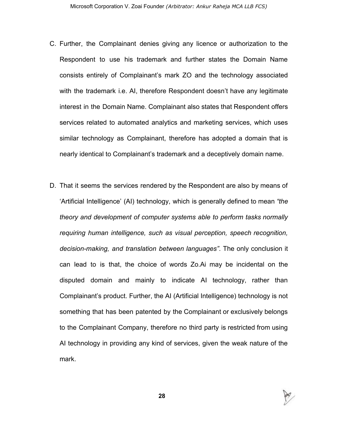- C. Further, the Complainant denies giving any licence or authorization to the Respondent to use his trademark and further states the Domain Name consists entirely of Complainant's mark ZO and the technology associated with the trademark i.e. AI, therefore Respondent doesn't have any legitimate interest in the Domain Name. Complainant also states that Respondent offers services related to automated analytics and marketing services, which uses similar technology as Complainant, therefore has adopted a domain that is nearly identical to Complainant's trademark and a deceptively domain name.
- D. That it seems the services rendered by the Respondent are also by means of 'Artificial Intelligence' (AI) technology, which is generally defined to mean *"the theory and development of computer systems able to perform tasks normally requiring human intelligence, such as visual perception, speech recognition, decision-making, and translation between languages"*. The only conclusion it can lead to is that, the choice of words Zo.Ai may be incidental on the disputed domain and mainly to indicate AI technology, rather than Complainant's product. Further, the AI (Artificial Intelligence) technology is not something that has been patented by the Complainant or exclusively belongs to the Complainant Company, therefore no third party is restricted from using AI technology in providing any kind of services, given the weak nature of the mark.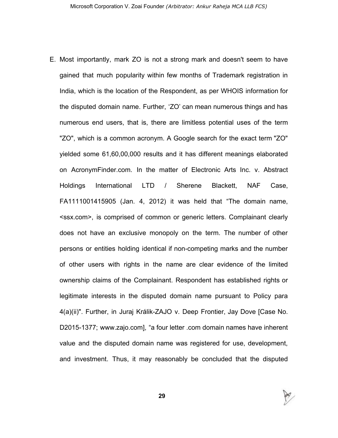E. Most importantly, mark ZO is not a strong mark and doesn't seem to have gained that much popularity within few months of Trademark registration in India, which is the location of the Respondent, as per WHOIS information for the disputed domain name. Further, 'ZO' can mean numerous things and has numerous end users, that is, there are limitless potential uses of the term "ZO", which is a common acronym. A Google search for the exact term "ZO" yielded some 61,60,00,000 results and it has different meanings elaborated on AcronymFinder.com. In the matter of Electronic Arts Inc. v. Abstract Holdings International LTD / Sherene Blackett, NAF Case, FA1111001415905 (Jan. 4, 2012) it was held that "The domain name, <ssx.com>, is comprised of common or generic letters. Complainant clearly does not have an exclusive monopoly on the term. The number of other persons or entities holding identical if non-competing marks and the number of other users with rights in the name are clear evidence of the limited ownership claims of the Complainant. Respondent has established rights or legitimate interests in the disputed domain name pursuant to Policy para 4(a)(ii)". Further, in Juraj Králik-ZAJO v. Deep Frontier, Jay Dove [Case No. D2015-1377; www.zajo.com], "a four letter .com domain names have inherent value and the disputed domain name was registered for use, development, and investment. Thus, it may reasonably be concluded that the disputed

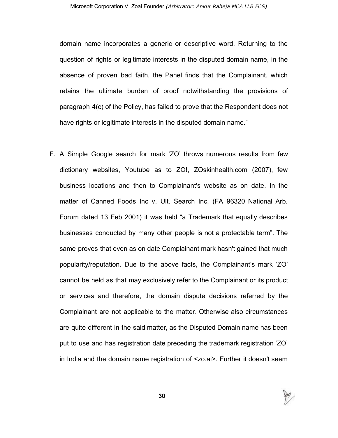domain name incorporates a generic or descriptive word. Returning to the question of rights or legitimate interests in the disputed domain name, in the absence of proven bad faith, the Panel finds that the Complainant, which retains the ultimate burden of proof notwithstanding the provisions of paragraph 4(c) of the Policy, has failed to prove that the Respondent does not have rights or legitimate interests in the disputed domain name."

F. A Simple Google search for mark 'ZO' throws numerous results from few dictionary websites, Youtube as to ZO!, ZOskinhealth.com (2007), few business locations and then to Complainant's website as on date. In the matter of Canned Foods Inc v. Ult. Search Inc. (FA 96320 National Arb. Forum dated 13 Feb 2001) it was held "a Trademark that equally describes businesses conducted by many other people is not a protectable term". The same proves that even as on date Complainant mark hasn't gained that much popularity/reputation. Due to the above facts, the Complainant's mark 'ZO' cannot be held as that may exclusively refer to the Complainant or its product or services and therefore, the domain dispute decisions referred by the Complainant are not applicable to the matter. Otherwise also circumstances are quite different in the said matter, as the Disputed Domain name has been put to use and has registration date preceding the trademark registration 'ZO' in India and the domain name registration of <zo.ai>. Further it doesn't seem

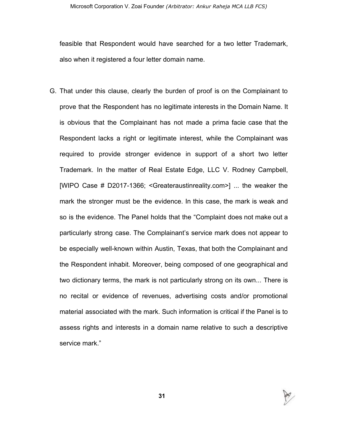feasible that Respondent would have searched for a two letter Trademark, also when it registered a four letter domain name.

G. That under this clause, clearly the burden of proof is on the Complainant to prove that the Respondent has no legitimate interests in the Domain Name. It is obvious that the Complainant has not made a prima facie case that the Respondent lacks a right or legitimate interest, while the Complainant was required to provide stronger evidence in support of a short two letter Trademark. In the matter of Real Estate Edge, LLC V. Rodney Campbell, [WIPO Case # D2017-1366; <Greateraustinreality.com>] ... the weaker the mark the stronger must be the evidence. In this case, the mark is weak and so is the evidence. The Panel holds that the "Complaint does not make out a particularly strong case. The Complainant's service mark does not appear to be especially well-known within Austin, Texas, that both the Complainant and the Respondent inhabit. Moreover, being composed of one geographical and two dictionary terms, the mark is not particularly strong on its own... There is no recital or evidence of revenues, advertising costs and/or promotional material associated with the mark. Such information is critical if the Panel is to assess rights and interests in a domain name relative to such a descriptive service mark."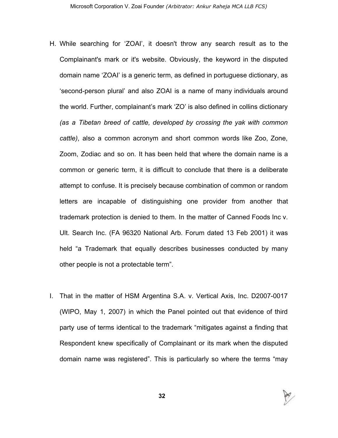- H. While searching for 'ZOAI', it doesn't throw any search result as to the Complainant's mark or it's website. Obviously, the keyword in the disputed domain name 'ZOAI' is a generic term, as defined in portuguese dictionary, as 'second-person plural' and also ZOAI is a name of many individuals around the world. Further, complainant's mark 'ZO' is also defined in collins dictionary *(as a Tibetan breed of cattle, developed by crossing the yak with common cattle)*, also a common acronym and short common words like Zoo, Zone, Zoom, Zodiac and so on. It has been held that where the domain name is a common or generic term, it is difficult to conclude that there is a deliberate attempt to confuse. It is precisely because combination of common or random letters are incapable of distinguishing one provider from another that trademark protection is denied to them. In the matter of Canned Foods Inc v. Ult. Search Inc. (FA 96320 National Arb. Forum dated 13 Feb 2001) it was held "a Trademark that equally describes businesses conducted by many other people is not a protectable term".
- I. That in the matter of HSM Argentina S.A. v. Vertical Axis, Inc. D2007-0017 (WIPO, May 1, 2007) in which the Panel pointed out that evidence of third party use of terms identical to the trademark "mitigates against a finding that Respondent knew specifically of Complainant or its mark when the disputed domain name was registered". This is particularly so where the terms "may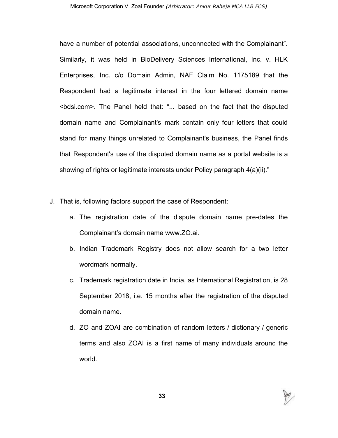have a number of potential associations, unconnected with the Complainant". Similarly, it was held in BioDelivery Sciences International, Inc. v. HLK Enterprises, Inc. c/o Domain Admin, NAF Claim No. 1175189 that the Respondent had a legitimate interest in the four lettered domain name <bdsi.com>. The Panel held that: "... based on the fact that the disputed domain name and Complainant's mark contain only four letters that could stand for many things unrelated to Complainant's business, the Panel finds that Respondent's use of the disputed domain name as a portal website is a showing of rights or legitimate interests under Policy paragraph 4(a)(ii)."

- J. That is, following factors support the case of Respondent:
	- a. The registration date of the dispute domain name pre-dates the Complainant's domain name www.ZO.ai.
	- b. Indian Trademark Registry does not allow search for a two letter wordmark normally.
	- c. Trademark registration date in India, as International Registration, is 28 September 2018, i.e. 15 months after the registration of the disputed domain name.
	- d. ZO and ZOAI are combination of random letters / dictionary / generic terms and also ZOAI is a first name of many individuals around the world.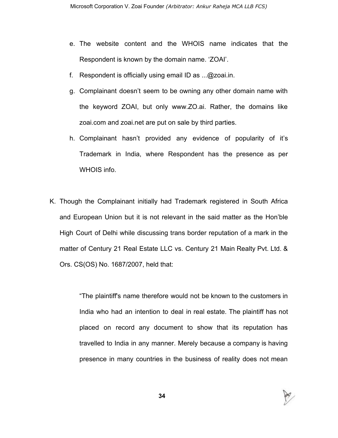- e. The website content and the WHOIS name indicates that the Respondent is known by the domain name. 'ZOAI'.
- f. Respondent is officially using email ID as ...@zoai.in.
- g. Complainant doesn't seem to be owning any other domain name with the keyword ZOAI, but only www.ZO.ai. Rather, the domains like zoai.com and zoai.net are put on sale by third parties.
- h. Complainant hasn't provided any evidence of popularity of it's Trademark in India, where Respondent has the presence as per WHOIS info.
- K. Though the Complainant initially had Trademark registered in South Africa and European Union but it is not relevant in the said matter as the Hon'ble High Court of Delhi while discussing trans border reputation of a mark in the matter of Century 21 Real Estate LLC vs. Century 21 Main Realty Pvt. Ltd. & Ors. CS(OS) No. 1687/2007, held that:

"The plaintiff's name therefore would not be known to the customers in India who had an intention to deal in real estate. The plaintiff has not placed on record any document to show that its reputation has travelled to India in any manner. Merely because a company is having presence in many countries in the business of reality does not mean

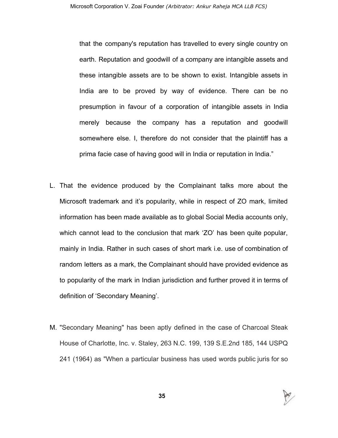that the company's reputation has travelled to every single country on earth. Reputation and goodwill of a company are intangible assets and these intangible assets are to be shown to exist. Intangible assets in India are to be proved by way of evidence. There can be no presumption in favour of a corporation of intangible assets in India merely because the company has a reputation and goodwill somewhere else. I, therefore do not consider that the plaintiff has a prima facie case of having good will in India or reputation in India."

- L. That the evidence produced by the Complainant talks more about the Microsoft trademark and it's popularity, while in respect of ZO mark, limited information has been made available as to global Social Media accounts only, which cannot lead to the conclusion that mark 'ZO' has been quite popular, mainly in India. Rather in such cases of short mark i.e. use of combination of random letters as a mark, the Complainant should have provided evidence as to popularity of the mark in Indian jurisdiction and further proved it in terms of definition of 'Secondary Meaning'.
- M. "Secondary Meaning" has been aptly defined in the case of Charcoal Steak House of Charlotte, Inc. v. Staley, 263 N.C. 199, 139 S.E.2nd 185, 144 USPQ 241 (1964) as "When a particular business has used words public juris for so

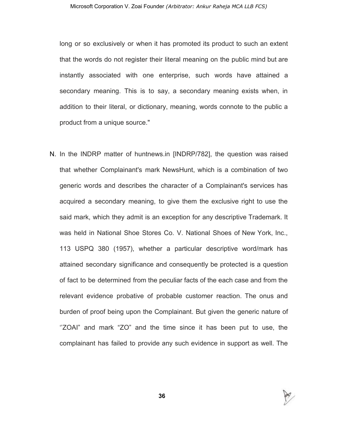long or so exclusively or when it has promoted its product to such an extent that the words do not register their literal meaning on the public mind but are instantly associated with one enterprise, such words have attained a secondary meaning. This is to say, a secondary meaning exists when, in addition to their literal, or dictionary, meaning, words connote to the public a product from a unique source."

N. In the INDRP matter of huntnews.in [INDRP/782], the question was raised that whether Complainant's mark NewsHunt, which is a combination of two generic words and describes the character of a Complainant's services has acquired a secondary meaning, to give them the exclusive right to use the said mark, which they admit is an exception for any descriptive Trademark. It was held in National Shoe Stores Co. V. National Shoes of New York, Inc., 113 USPQ 380 (1957), whether a particular descriptive word/mark has attained secondary significance and consequently be protected is a question of fact to be determined from the peculiar facts of the each case and from the relevant evidence probative of probable customer reaction. The onus and burden of proof being upon the Complainant. But given the generic nature of "ZOAI" and mark "ZO" and the time since it has been put to use, the complainant has failed to provide any such evidence in support as well. The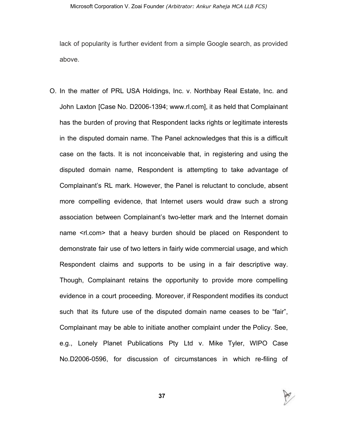lack of popularity is further evident from a simple Google search, as provided above.

O. In the matter of PRL USA Holdings, Inc. v. Northbay Real Estate, Inc. and John Laxton [Case No. D2006-1394; www.rl.com], it as held that Complainant has the burden of proving that Respondent lacks rights or legitimate interests in the disputed domain name. The Panel acknowledges that this is a difficult case on the facts. It is not inconceivable that, in registering and using the disputed domain name, Respondent is attempting to take advantage of Complainant's RL mark. However, the Panel is reluctant to conclude, absent more compelling evidence, that Internet users would draw such a strong association between Complainant's two-letter mark and the Internet domain name <rl.com> that a heavy burden should be placed on Respondent to demonstrate fair use of two letters in fairly wide commercial usage, and which Respondent claims and supports to be using in a fair descriptive way. Though, Complainant retains the opportunity to provide more compelling evidence in a court proceeding. Moreover, if Respondent modifies its conduct such that its future use of the disputed domain name ceases to be "fair", Complainant may be able to initiate another complaint under the Policy. See, e.g., Lonely Planet Publications Pty Ltd v. Mike Tyler, WIPO Case No.D2006-0596, for discussion of circumstances in which re-filing of



**37**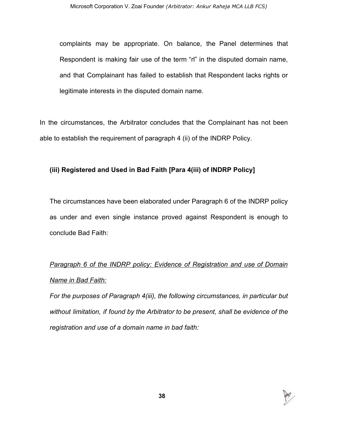complaints may be appropriate. On balance, the Panel determines that Respondent is making fair use of the term "rl" in the disputed domain name, and that Complainant has failed to establish that Respondent lacks rights or legitimate interests in the disputed domain name.

In the circumstances, the Arbitrator concludes that the Complainant has not been able to establish the requirement of paragraph 4 (ii) of the INDRP Policy.

# **(iii) Registered and Used in Bad Faith [Para 4(iii) of INDRP Policy]**

The circumstances have been elaborated under Paragraph 6 of the INDRP policy as under and even single instance proved against Respondent is enough to conclude Bad Faith:

# *Paragraph 6 of the INDRP policy: Evidence of Registration and use of Domain Name in Bad Faith:*

*For the purposes of Paragraph 4(iii), the following circumstances, in particular but without limitation, if found by the Arbitrator to be present, shall be evidence of the registration and use of a domain name in bad faith:*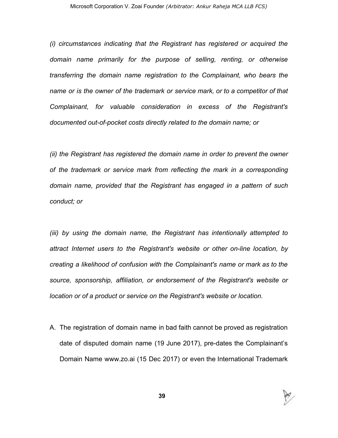*(i) circumstances indicating that the Registrant has registered or acquired the domain name primarily for the purpose of selling, renting, or otherwise transferring the domain name registration to the Complainant, who bears the name or is the owner of the trademark or service mark, or to a competitor of that Complainant, for valuable consideration in excess of the Registrant's documented out-of-pocket costs directly related to the domain name; or*

*(ii) the Registrant has registered the domain name in order to prevent the owner of the trademark or service mark from reflecting the mark in a corresponding domain name, provided that the Registrant has engaged in a pattern of such conduct; or*

*(iii) by using the domain name, the Registrant has intentionally attempted to attract Internet users to the Registrant's website or other on-line location, by creating a likelihood of confusion with the Complainant's name or mark as to the source, sponsorship, affiliation, or endorsement of the Registrant's website or location or of a product or service on the Registrant's website or location.*

A. The registration of domain name in bad faith cannot be proved as registration date of disputed domain name (19 June 2017), pre-dates the Complainant's Domain Name www.zo.ai (15 Dec 2017) or even the International Trademark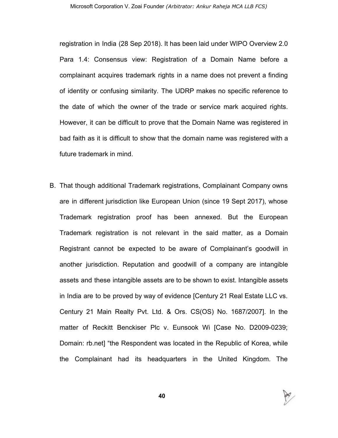registration in India (28 Sep 2018). It has been laid under WIPO Overview 2.0 Para 1.4: Consensus view: Registration of a Domain Name before a complainant acquires trademark rights in a name does not prevent a finding of identity or confusing similarity. The UDRP makes no specific reference to the date of which the owner of the trade or service mark acquired rights. However, it can be difficult to prove that the Domain Name was registered in bad faith as it is difficult to show that the domain name was registered with a future trademark in mind.

B. That though additional Trademark registrations, Complainant Company owns are in different jurisdiction like European Union (since 19 Sept 2017), whose Trademark registration proof has been annexed. But the European Trademark registration is not relevant in the said matter, as a Domain Registrant cannot be expected to be aware of Complainant's goodwill in another jurisdiction. Reputation and goodwill of a company are intangible assets and these intangible assets are to be shown to exist. Intangible assets in India are to be proved by way of evidence [Century 21 Real Estate LLC vs. Century 21 Main Realty Pvt. Ltd. & Ors. CS(OS) No. 1687/2007]. In the matter of Reckitt Benckiser Plc v. Eunsook Wi [Case No. D2009-0239; Domain: rb.net] "the Respondent was located in the Republic of Korea, while the Complainant had its headquarters in the United Kingdom. The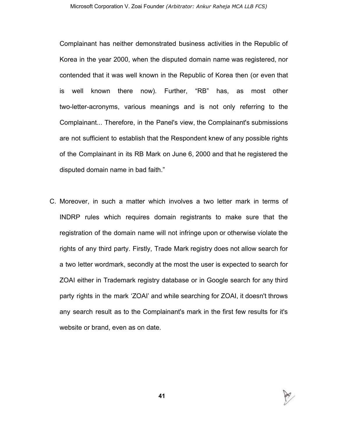Complainant has neither demonstrated business activities in the Republic of Korea in the year 2000, when the disputed domain name was registered, nor contended that it was well known in the Republic of Korea then (or even that is well known there now). Further, "RB" has, as most other two-letter-acronyms, various meanings and is not only referring to the Complainant... Therefore, in the Panel's view, the Complainant's submissions are not sufficient to establish that the Respondent knew of any possible rights of the Complainant in its RB Mark on June 6, 2000 and that he registered the disputed domain name in bad faith."

C. Moreover, in such a matter which involves a two letter mark in terms of INDRP rules which requires domain registrants to make sure that the registration of the domain name will not infringe upon or otherwise violate the rights of any third party. Firstly, Trade Mark registry does not allow search for a two letter wordmark, secondly at the most the user is expected to search for ZOAI either in Trademark registry database or in Google search for any third party rights in the mark 'ZOAI' and while searching for ZOAI, it doesn't throws any search result as to the Complainant's mark in the first few results for it's website or brand, even as on date.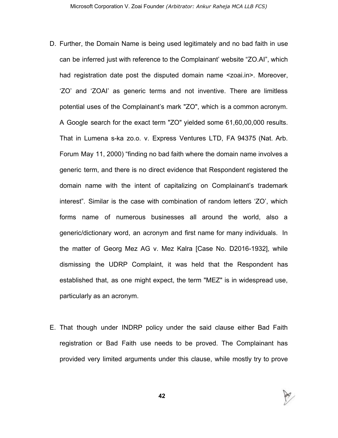- D. Further, the Domain Name is being used legitimately and no bad faith in use can be inferred just with reference to the Complainant' website "ZO.AI", which had registration date post the disputed domain name <zoai.in>. Moreover, 'ZO' and 'ZOAI' as generic terms and not inventive. There are limitless potential uses of the Complainant's mark "ZO", which is a common acronym. A Google search for the exact term "ZO" yielded some 61,60,00,000 results. That in Lumena s-ka zo.o. v. Express Ventures LTD, FA 94375 (Nat. Arb. Forum May 11, 2000) "finding no bad faith where the domain name involves a generic term, and there is no direct evidence that Respondent registered the domain name with the intent of capitalizing on Complainant's trademark interest". Similar is the case with combination of random letters 'ZO', which forms name of numerous businesses all around the world, also a generic/dictionary word, an acronym and first name for many individuals. In the matter of Georg Mez AG v. Mez Kalra [Case No. D2016-1932], while dismissing the UDRP Complaint, it was held that the Respondent has established that, as one might expect, the term "MEZ" is in widespread use, particularly as an acronym.
- E. That though under INDRP policy under the said clause either Bad Faith registration or Bad Faith use needs to be proved. The Complainant has provided very limited arguments under this clause, while mostly try to prove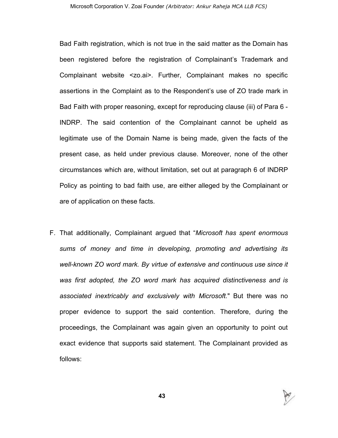Bad Faith registration, which is not true in the said matter as the Domain has been registered before the registration of Complainant's Trademark and Complainant website <zo.ai>. Further, Complainant makes no specific assertions in the Complaint as to the Respondent's use of ZO trade mark in Bad Faith with proper reasoning, except for reproducing clause (iii) of Para 6 - INDRP. The said contention of the Complainant cannot be upheld as legitimate use of the Domain Name is being made, given the facts of the present case, as held under previous clause. Moreover, none of the other circumstances which are, without limitation, set out at paragraph 6 of INDRP Policy as pointing to bad faith use, are either alleged by the Complainant or are of application on these facts.

F. That additionally, Complainant argued that "*Microsoft has spent enormous sums of money and time in developing, promoting and advertising its well-known ZO word mark. By virtue of extensive and continuous use since it was first adopted, the ZO word mark has acquired distinctiveness and is associated inextricably and exclusively with Microsoft.*" But there was no proper evidence to support the said contention. Therefore, during the proceedings, the Complainant was again given an opportunity to point out exact evidence that supports said statement. The Complainant provided as follows: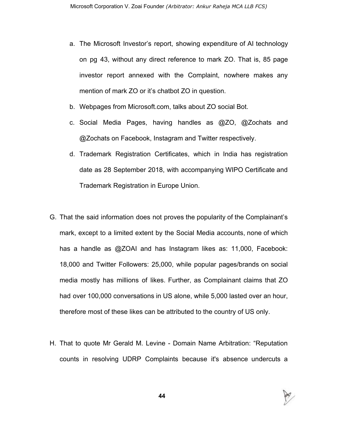- a. The Microsoft Investor's report, showing expenditure of AI technology on pg 43, without any direct reference to mark ZO. That is, 85 page investor report annexed with the Complaint, nowhere makes any mention of mark ZO or it's chatbot ZO in question.
- b. Webpages from Microsoft.com, talks about ZO social Bot.
- c. Social Media Pages, having handles as @ZO, @Zochats and @Zochats on Facebook, Instagram and Twitter respectively.
- d. Trademark Registration Certificates, which in India has registration date as 28 September 2018, with accompanying WIPO Certificate and Trademark Registration in Europe Union.
- G. That the said information does not proves the popularity of the Complainant's mark, except to a limited extent by the Social Media accounts, none of which has a handle as @ZOAI and has Instagram likes as: 11,000, Facebook: 18,000 and Twitter Followers: 25,000, while popular pages/brands on social media mostly has millions of likes. Further, as Complainant claims that ZO had over 100,000 conversations in US alone, while 5,000 lasted over an hour, therefore most of these likes can be attributed to the country of US only.
- H. That to quote Mr Gerald M. Levine Domain Name Arbitration: "Reputation counts in resolving UDRP Complaints because it's absence undercuts a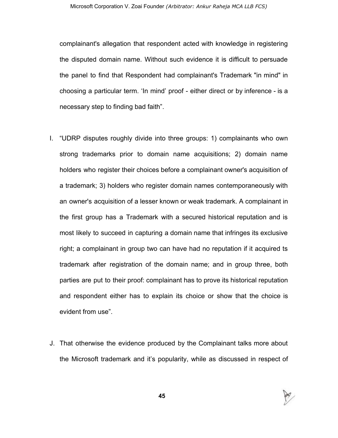complainant's allegation that respondent acted with knowledge in registering the disputed domain name. Without such evidence it is difficult to persuade the panel to find that Respondent had complainant's Trademark "in mind" in choosing a particular term. 'In mind' proof - either direct or by inference - is a necessary step to finding bad faith".

- I. "UDRP disputes roughly divide into three groups: 1) complainants who own strong trademarks prior to domain name acquisitions; 2) domain name holders who register their choices before a complainant owner's acquisition of a trademark; 3) holders who register domain names contemporaneously with an owner's acquisition of a lesser known or weak trademark. A complainant in the first group has a Trademark with a secured historical reputation and is most likely to succeed in capturing a domain name that infringes its exclusive right; a complainant in group two can have had no reputation if it acquired ts trademark after registration of the domain name; and in group three, both parties are put to their proof: complainant has to prove its historical reputation and respondent either has to explain its choice or show that the choice is evident from use".
- J. That otherwise the evidence produced by the Complainant talks more about the Microsoft trademark and it's popularity, while as discussed in respect of

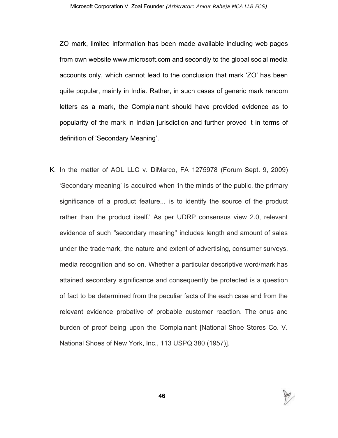ZO mark, limited information has been made available including web pages from own website www.microsoft.com and secondly to the global social media accounts only, which cannot lead to the conclusion that mark 'ZO' has been quite popular, mainly in India. Rather, in such cases of generic mark random letters as a mark, the Complainant should have provided evidence as to popularity of the mark in Indian jurisdiction and further proved it in terms of definition of 'Secondary Meaning'.

K. In the matter of AOL LLC v. DiMarco, FA 1275978 (Forum Sept. 9, 2009) 'Secondary meaning' is acquired when 'in the minds of the public, the primary significance of a product feature... is to identify the source of the product rather than the product itself.' As per UDRP consensus view 2.0, relevant evidence of such "secondary meaning" includes length and amount of sales under the trademark, the nature and extent of advertising, consumer surveys, media recognition and so on. Whether a particular descriptive word/mark has attained secondary significance and consequently be protected is a question of fact to be determined from the peculiar facts of the each case and from the relevant evidence probative of probable customer reaction. The onus and burden of proof being upon the Complainant [National Shoe Stores Co. V. National Shoes of New York, Inc., 113 USPQ 380 (1957)].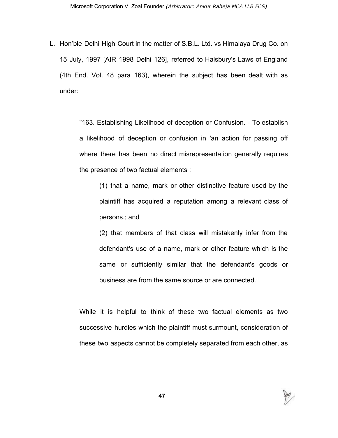L. Hon'ble Delhi High Court in the matter of S.B.L. Ltd. vs Himalaya Drug Co. on 15 July, 1997 [AIR 1998 Delhi 126], referred to Halsbury's Laws of England (4th End. Vol. 48 para 163), wherein the subject has been dealt with as under:

> "163. Establishing Likelihood of deception or Confusion. - To establish a likelihood of deception or confusion in 'an action for passing off where there has been no direct misrepresentation generally requires the presence of two factual elements :

(1) that a name, mark or other distinctive feature used by the plaintiff has acquired a reputation among a relevant class of persons.; and

(2) that members of that class will mistakenly infer from the defendant's use of a name, mark or other feature which is the same or sufficiently similar that the defendant's goods or business are from the same source or are connected.

While it is helpful to think of these two factual elements as two successive hurdles which the plaintiff must surmount, consideration of these two aspects cannot be completely separated from each other, as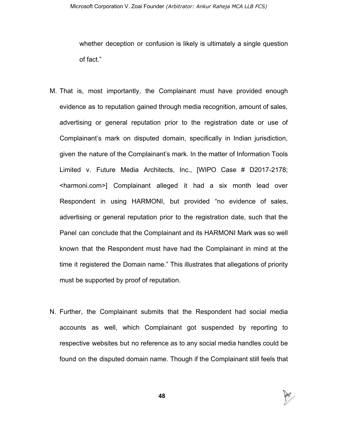whether deception or confusion is likely is ultimately a single question of fact."

- M. That is, most importantly, the Complainant must have provided enough evidence as to reputation gained through media recognition, amount of sales, advertising or general reputation prior to the registration date or use of Complainant's mark on disputed domain, specifically in Indian jurisdiction, given the nature of the Complainant's mark. In the matter of Information Tools Limited v. Future Media Architects, Inc., [WIPO Case # D2017-2178; <harmoni.com>] Complainant alleged it had a six month lead over Respondent in using HARMONI, but provided "no evidence of sales, advertising or general reputation prior to the registration date, such that the Panel can conclude that the Complainant and its HARMONI Mark was so well known that the Respondent must have had the Complainant in mind at the time it registered the Domain name." This illustrates that allegations of priority must be supported by proof of reputation.
- N. Further, the Complainant submits that the Respondent had social media accounts as well, which Complainant got suspended by reporting to respective websites but no reference as to any social media handles could be found on the disputed domain name. Though if the Complainant still feels that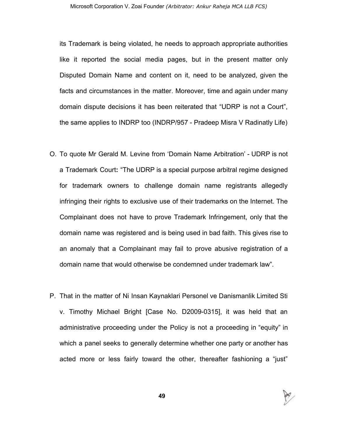its Trademark is being violated, he needs to approach appropriate authorities like it reported the social media pages, but in the present matter only Disputed Domain Name and content on it, need to be analyzed, given the facts and circumstances in the matter. Moreover, time and again under many domain dispute decisions it has been reiterated that "UDRP is not a Court", the same applies to INDRP too (INDRP/957 - Pradeep Misra V Radinatly Life)

- O. To quote Mr Gerald M. Levine from 'Domain Name Arbitration' UDRP is not a Trademark Court**:** "The UDRP is a special purpose arbitral regime designed for trademark owners to challenge domain name registrants allegedly infringing their rights to exclusive use of their trademarks on the Internet. The Complainant does not have to prove Trademark Infringement, only that the domain name was registered and is being used in bad faith. This gives rise to an anomaly that a Complainant may fail to prove abusive registration of a domain name that would otherwise be condemned under trademark law".
- P. That in the matter of Ni Insan Kaynaklari Personel ve Danismanlik Limited Sti v. Timothy Michael Bright [Case No. D2009-0315], it was held that an administrative proceeding under the Policy is not a proceeding in "equity" in which a panel seeks to generally determine whether one party or another has acted more or less fairly toward the other, thereafter fashioning a "just"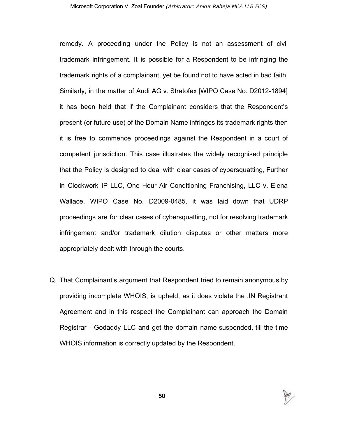remedy. A proceeding under the Policy is not an assessment of civil trademark infringement. It is possible for a Respondent to be infringing the trademark rights of a complainant, yet be found not to have acted in bad faith. Similarly, in the matter of Audi AG v. Stratofex [WIPO Case No. D2012-1894] it has been held that if the Complainant considers that the Respondent's present (or future use) of the Domain Name infringes its trademark rights then it is free to commence proceedings against the Respondent in a court of competent jurisdiction. This case illustrates the widely recognised principle that the Policy is designed to deal with clear cases of cybersquatting, Further in Clockwork IP LLC, One Hour Air Conditioning Franchising, LLC v. Elena Wallace, WIPO Case No. D2009-0485, it was laid down that UDRP proceedings are for clear cases of cybersquatting, not for resolving trademark infringement and/or trademark dilution disputes or other matters more appropriately dealt with through the courts.

Q. That Complainant's argument that Respondent tried to remain anonymous by providing incomplete WHOIS, is upheld, as it does violate the .IN Registrant Agreement and in this respect the Complainant can approach the Domain Registrar - Godaddy LLC and get the domain name suspended, till the time WHOIS information is correctly updated by the Respondent.